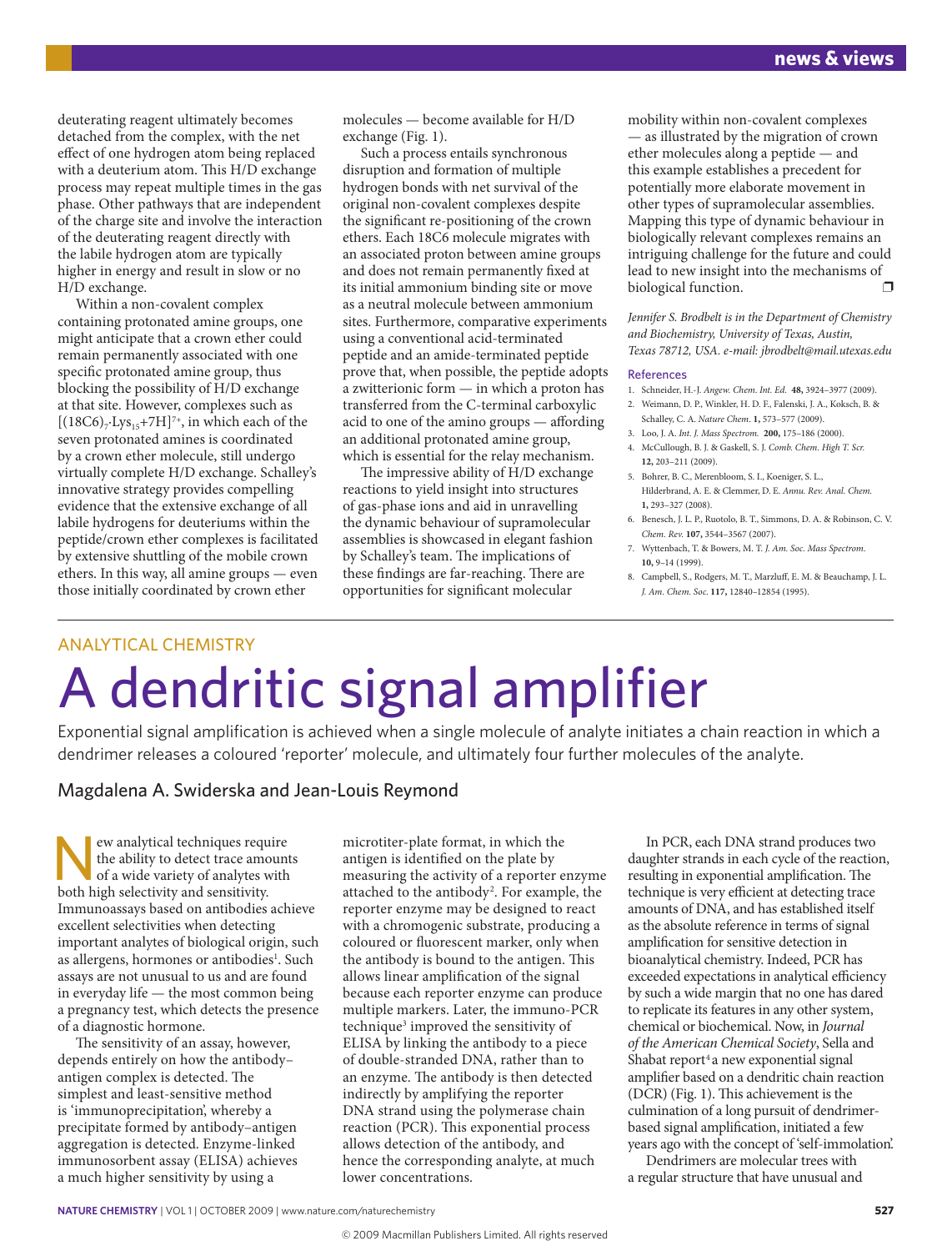deuterating reagent ultimately becomes detached from the complex, with the net effect of one hydrogen atom being replaced with a deuterium atom. This H/D exchange process may repeat multiple times in the gas phase. Other pathways that are independent of the charge site and involve the interaction of the deuterating reagent directly with the labile hydrogen atom are typically higher in energy and result in slow or no H/D exchange.

Within a non-covalent complex containing protonated amine groups, one might anticipate that a crown ether could remain permanently associated with one specific protonated amine group, thus blocking the possibility of H/D exchange at that site. However, complexes such as  $[(18C6)_{7}$ ·Lys<sub>15</sub>+7H]<sup>7+</sup>, in which each of the seven protonated amines is coordinated by a crown ether molecule, still undergo virtually complete H/D exchange. Schalley's innovative strategy provides compelling evidence that the extensive exchange of all labile hydrogens for deuteriums within the peptide/crown ether complexes is facilitated by extensive shuttling of the mobile crown ethers. In this way, all amine groups — even those initially coordinated by crown ether

molecules — become available for H/D exchange (Fig. 1).

Such a process entails synchronous disruption and formation of multiple hydrogen bonds with net survival of the original non-covalent complexes despite the significant re-positioning of the crown ethers. Each 18C6 molecule migrates with an associated proton between amine groups and does not remain permanently fixed at its initial ammonium binding site or move as a neutral molecule between ammonium sites. Furthermore, comparative experiments using a conventional acid-terminated peptide and an amide-terminated peptide prove that, when possible, the peptide adopts a zwitterionic form — in which a proton has transferred from the C-terminal carboxylic acid to one of the amino groups — affording an additional protonated amine group, which is essential for the relay mechanism.

The impressive ability of H/D exchange reactions to yield insight into structures of gas-phase ions and aid in unravelling the dynamic behaviour of supramolecular assemblies is showcased in elegant fashion by Schalley's team. The implications of these findings are far-reaching. There are opportunities for significant molecular

mobility within non-covalent complexes — as illustrated by the migration of crown ether molecules along a peptide — and this example establishes a precedent for potentially more elaborate movement in other types of supramolecular assemblies. Mapping this type of dynamic behaviour in biologically relevant complexes remains an intriguing challenge for the future and could lead to new insight into the mechanisms of<br>biological function biological function.

*Jennifer S. Brodbelt is in the Department of Chemistry and Biochemistry, University of Texas, Austin, Texas 78712, USA. e-mail: jbrodbelt@mail.utexas.edu*

## References

- 1. Schneider, H.-J. *Angew. Chem*. *Int. Ed.* **48,** 3924–3977 (2009).
- 2. Weimann, D. P., Winkler, H. D. F., Falenski, J. A., Koksch, B. & Schalley, C. A. *Nature Chem*. **1,** 573–577 (2009).
- 3. Loo, J. A. *Int. J. Mass Spectrom.* **200,** 175–186 (2000).
- 4. McCullough, B. J. & Gaskell, S. J. *Comb. Chem. High T. Scr.* **12,** 203–211 (2009).
- 5. Bohrer, B. C., Merenbloom, S. I., Koeniger, S. L., Hilderbrand, A. E. & Clemmer, D. E. *Annu. Rev. Anal. Chem.* **1,** 293–327 (2008).
- 6. Benesch, J. L. P., Ruotolo, B. T., Simmons, D. A. & Robinson, C. V. *Chem. Rev.* **107,** 3544–3567 (2007).
- 7. Wyttenbach, T. & Bowers, M. T. *J. Am. Soc. Mass Spectrom*. **10,** 9–14 (1999).
- 8. Campbell, S., Rodgers, M. T., Marzluff, E. M. & Beauchamp, J. L. *J. Am. Chem. Soc*. **117,** 12840–12854 (1995).

## ANALYTICAL CHEMISTRY A dendritic signal amplifier

Exponential signal amplification is achieved when a single molecule of analyte initiates a chain reaction in which a dendrimer releases a coloured 'reporter' molecule, and ultimately four further molecules of the analyte.

## Magdalena A. Swiderska and Jean-Louis Reymond

EV ew analytical techniques require<br>the ability to detect trace amount<br>of a wide variety of analytes with<br>both high selectivity and sensitivity the ability to detect trace amounts of a wide variety of analytes with both high selectivity and sensitivity. Immunoassays based on antibodies achieve excellent selectivities when detecting important analytes of biological origin, such as allergens, hormones or antibodies<sup>1</sup>. Such assays are not unusual to us and are found in everyday life — the most common being a pregnancy test, which detects the presence of a diagnostic hormone.

The sensitivity of an assay, however, depends entirely on how the antibody– antigen complex is detected. The simplest and least-sensitive method is 'immunoprecipitation', whereby a precipitate formed by antibody–antigen aggregation is detected. Enzyme-linked immunosorbent assay (ELISA) achieves a much higher sensitivity by using a

microtiter-plate format, in which the antigen is identified on the plate by measuring the activity of a reporter enzyme attached to the antibody<sup>2</sup>. For example, the reporter enzyme may be designed to react with a chromogenic substrate, producing a coloured or fluorescent marker, only when the antibody is bound to the antigen. This allows linear amplification of the signal because each reporter enzyme can produce multiple markers. Later, the immuno-PCR technique<sup>3</sup> improved the sensitivity of ELISA by linking the antibody to a piece of double-stranded DNA, rather than to an enzyme. The antibody is then detected indirectly by amplifying the reporter DNA strand using the polymerase chain reaction (PCR). This exponential process allows detection of the antibody, and hence the corresponding analyte, at much lower concentrations.

In PCR, each DNA strand produces two daughter strands in each cycle of the reaction, resulting in exponential amplification. The technique is very efficient at detecting trace amounts of DNA, and has established itself as the absolute reference in terms of signal amplification for sensitive detection in bioanalytical chemistry. Indeed, PCR has exceeded expectations in analytical efficiency by such a wide margin that no one has dared to replicate its features in any other system, chemical or biochemical. Now, in *Journal of the American Chemical Society*, Sella and Shabat report<sup>4</sup> a new exponential signal amplifier based on a dendritic chain reaction (DCR) (Fig. 1). This achievement is the culmination of a long pursuit of dendrimerbased signal amplification, initiated a few years ago with the concept of 'self-immolation'.

Dendrimers are molecular trees with a regular structure that have unusual and